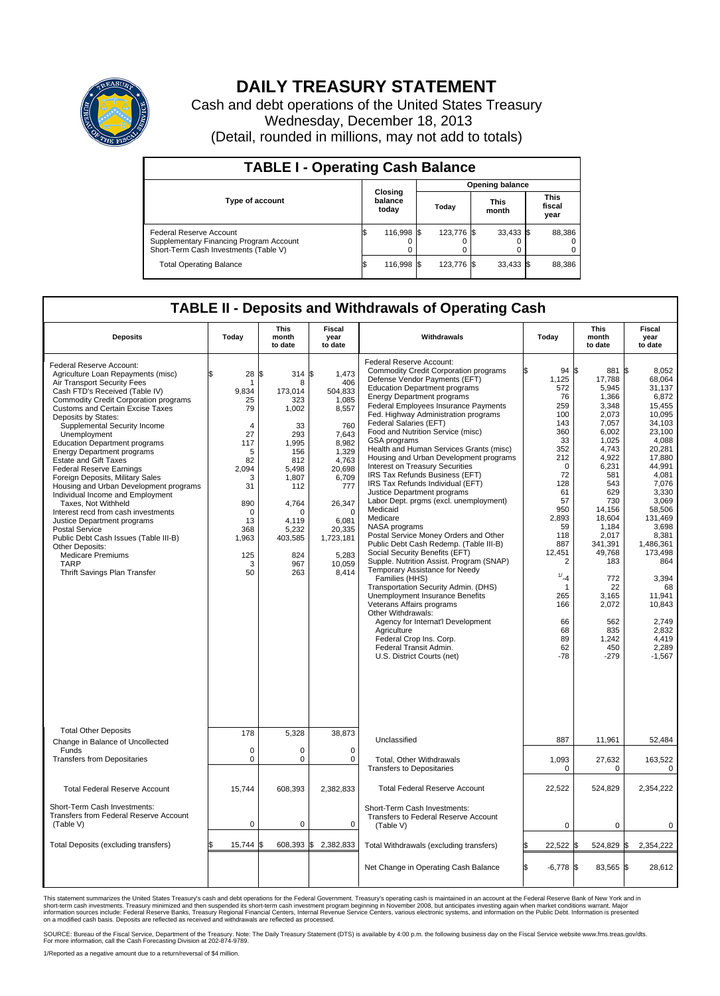

## **DAILY TREASURY STATEMENT**

Cash and debt operations of the United States Treasury Wednesday, December 18, 2013 (Detail, rounded in millions, may not add to totals)

| <b>TABLE I - Operating Cash Balance</b>                                                                     |  |                             |       |                        |  |                      |  |                               |  |  |  |
|-------------------------------------------------------------------------------------------------------------|--|-----------------------------|-------|------------------------|--|----------------------|--|-------------------------------|--|--|--|
|                                                                                                             |  |                             |       | <b>Opening balance</b> |  |                      |  |                               |  |  |  |
| <b>Type of account</b>                                                                                      |  | Closing<br>balance<br>today | Today |                        |  | <b>This</b><br>month |  | <b>This</b><br>fiscal<br>year |  |  |  |
| Federal Reserve Account<br>Supplementary Financing Program Account<br>Short-Term Cash Investments (Table V) |  | 116,998 \$                  |       | 123.776 \$             |  | $33,433$ \$          |  | 88,386                        |  |  |  |
| <b>Total Operating Balance</b>                                                                              |  | 116,998 \$                  |       | 123.776 \$             |  | 33,433 \$            |  | 88,386                        |  |  |  |

## **TABLE II - Deposits and Withdrawals of Operating Cash**

| <b>Deposits</b>                                                                                                                                                                                                                                                                                                                                                                                                                                                                                                                                                                                                                                                                                                                                                                                                                         | Today                                                                                                                                                        | This<br>month<br>to date                                                                                                                                                       | Fiscal<br>year<br>to date                                                                                                                                                                        | Withdrawals                                                                                                                                                                                                                                                                                                                                                                                                                                                                                                                                                                                                                                                                                                                                                                                                                                                                                                                                                                                                                                                                                                                                                            |    | Today                                                                                                                                                                                                                                | <b>This</b><br>month<br>to date                                                                                                                                                                                                                                                 | Fiscal<br>year<br>to date                                                                                                                                                                                                                                                                                      |
|-----------------------------------------------------------------------------------------------------------------------------------------------------------------------------------------------------------------------------------------------------------------------------------------------------------------------------------------------------------------------------------------------------------------------------------------------------------------------------------------------------------------------------------------------------------------------------------------------------------------------------------------------------------------------------------------------------------------------------------------------------------------------------------------------------------------------------------------|--------------------------------------------------------------------------------------------------------------------------------------------------------------|--------------------------------------------------------------------------------------------------------------------------------------------------------------------------------|--------------------------------------------------------------------------------------------------------------------------------------------------------------------------------------------------|------------------------------------------------------------------------------------------------------------------------------------------------------------------------------------------------------------------------------------------------------------------------------------------------------------------------------------------------------------------------------------------------------------------------------------------------------------------------------------------------------------------------------------------------------------------------------------------------------------------------------------------------------------------------------------------------------------------------------------------------------------------------------------------------------------------------------------------------------------------------------------------------------------------------------------------------------------------------------------------------------------------------------------------------------------------------------------------------------------------------------------------------------------------------|----|--------------------------------------------------------------------------------------------------------------------------------------------------------------------------------------------------------------------------------------|---------------------------------------------------------------------------------------------------------------------------------------------------------------------------------------------------------------------------------------------------------------------------------|----------------------------------------------------------------------------------------------------------------------------------------------------------------------------------------------------------------------------------------------------------------------------------------------------------------|
| Federal Reserve Account:<br>Agriculture Loan Repayments (misc)<br>Air Transport Security Fees<br>Cash FTD's Received (Table IV)<br><b>Commodity Credit Corporation programs</b><br><b>Customs and Certain Excise Taxes</b><br>Deposits by States:<br>Supplemental Security Income<br>Unemployment<br><b>Education Department programs</b><br><b>Energy Department programs</b><br><b>Estate and Gift Taxes</b><br><b>Federal Reserve Earnings</b><br>Foreign Deposits, Military Sales<br>Housing and Urban Development programs<br>Individual Income and Employment<br>Taxes. Not Withheld<br>Interest recd from cash investments<br>Justice Department programs<br><b>Postal Service</b><br>Public Debt Cash Issues (Table III-B)<br>Other Deposits:<br><b>Medicare Premiums</b><br><b>TARP</b><br><b>Thrift Savings Plan Transfer</b> | \$<br>28<br>-1<br>9,834<br>25<br>79<br>$\overline{4}$<br>27<br>117<br>5<br>82<br>2,094<br>3<br>31<br>890<br>$\Omega$<br>13<br>368<br>1,963<br>125<br>3<br>50 | \$<br>314S<br>8<br>173.014<br>323<br>1,002<br>33<br>293<br>1.995<br>156<br>812<br>5.498<br>1.807<br>112<br>4,764<br>$\Omega$<br>4,119<br>5,232<br>403,585<br>824<br>967<br>263 | 1,473<br>406<br>504,833<br>1,085<br>8,557<br>760<br>7,643<br>8,982<br>1,329<br>4,763<br>20,698<br>6,709<br>777<br>26,347<br>$\Omega$<br>6,081<br>20,335<br>1,723,181<br>5,283<br>10,059<br>8,414 | Federal Reserve Account:<br><b>Commodity Credit Corporation programs</b><br>Defense Vendor Payments (EFT)<br><b>Education Department programs</b><br><b>Energy Department programs</b><br><b>Federal Employees Insurance Payments</b><br>Fed. Highway Administration programs<br>Federal Salaries (EFT)<br>Food and Nutrition Service (misc)<br>GSA programs<br>Health and Human Services Grants (misc)<br>Housing and Urban Development programs<br>Interest on Treasury Securities<br>IRS Tax Refunds Business (EFT)<br>IRS Tax Refunds Individual (EFT)<br>Justice Department programs<br>Labor Dept. prgms (excl. unemployment)<br>Medicaid<br>Medicare<br>NASA programs<br>Postal Service Money Orders and Other<br>Public Debt Cash Redemp. (Table III-B)<br>Social Security Benefits (EFT)<br>Supple. Nutrition Assist. Program (SNAP)<br>Temporary Assistance for Needy<br>Families (HHS)<br>Transportation Security Admin. (DHS)<br>Unemployment Insurance Benefits<br>Veterans Affairs programs<br>Other Withdrawals:<br>Agency for Internat'l Development<br>Agriculture<br>Federal Crop Ins. Corp.<br>Federal Transit Admin.<br>U.S. District Courts (net) |    | $94$ \$<br>1,125<br>572<br>76<br>259<br>100<br>143<br>360<br>33<br>352<br>212<br>$\mathbf 0$<br>72<br>128<br>61<br>57<br>950<br>2,893<br>59<br>118<br>887<br>12,451<br>2<br>1/24<br>1<br>265<br>166<br>66<br>68<br>89<br>62<br>$-78$ | 881 \$<br>17,788<br>5.945<br>1,366<br>3,348<br>2,073<br>7.057<br>6,002<br>1.025<br>4,743<br>4,922<br>6,231<br>581<br>543<br>629<br>730<br>14,156<br>18.604<br>1,184<br>2,017<br>341,391<br>49,768<br>183<br>772<br>22<br>3,165<br>2,072<br>562<br>835<br>1,242<br>450<br>$-279$ | 8,052<br>68.064<br>31.137<br>6,872<br>15.455<br>10,095<br>34.103<br>23,100<br>4,088<br>20,281<br>17,880<br>44,991<br>4,081<br>7.076<br>3,330<br>3,069<br>58,506<br>131.469<br>3,698<br>8,381<br>1.486.361<br>173,498<br>864<br>3,394<br>68<br>11,941<br>10,843<br>2.749<br>2,832<br>4.419<br>2.289<br>$-1,567$ |
| <b>Total Other Deposits</b><br>Change in Balance of Uncollected                                                                                                                                                                                                                                                                                                                                                                                                                                                                                                                                                                                                                                                                                                                                                                         | 178                                                                                                                                                          | 5,328                                                                                                                                                                          | 38,873                                                                                                                                                                                           | Unclassified                                                                                                                                                                                                                                                                                                                                                                                                                                                                                                                                                                                                                                                                                                                                                                                                                                                                                                                                                                                                                                                                                                                                                           |    | 887                                                                                                                                                                                                                                  | 11,961                                                                                                                                                                                                                                                                          | 52,484                                                                                                                                                                                                                                                                                                         |
| Funds<br><b>Transfers from Depositaries</b>                                                                                                                                                                                                                                                                                                                                                                                                                                                                                                                                                                                                                                                                                                                                                                                             | $\mathbf 0$<br>$\mathbf 0$                                                                                                                                   | $\mathbf 0$<br>0                                                                                                                                                               | $\Omega$<br>0                                                                                                                                                                                    | Total, Other Withdrawals<br><b>Transfers to Depositaries</b>                                                                                                                                                                                                                                                                                                                                                                                                                                                                                                                                                                                                                                                                                                                                                                                                                                                                                                                                                                                                                                                                                                           |    | 1,093<br>0                                                                                                                                                                                                                           | 27,632<br>$\mathbf 0$                                                                                                                                                                                                                                                           | 163,522<br>0                                                                                                                                                                                                                                                                                                   |
| <b>Total Federal Reserve Account</b>                                                                                                                                                                                                                                                                                                                                                                                                                                                                                                                                                                                                                                                                                                                                                                                                    | 15,744                                                                                                                                                       | 608,393                                                                                                                                                                        | 2,382,833                                                                                                                                                                                        | <b>Total Federal Reserve Account</b>                                                                                                                                                                                                                                                                                                                                                                                                                                                                                                                                                                                                                                                                                                                                                                                                                                                                                                                                                                                                                                                                                                                                   |    | 22,522                                                                                                                                                                                                                               | 524,829                                                                                                                                                                                                                                                                         | 2,354,222                                                                                                                                                                                                                                                                                                      |
| Short-Term Cash Investments:<br>Transfers from Federal Reserve Account<br>(Table V)                                                                                                                                                                                                                                                                                                                                                                                                                                                                                                                                                                                                                                                                                                                                                     | $\mathbf 0$                                                                                                                                                  | 0                                                                                                                                                                              | $\mathbf 0$                                                                                                                                                                                      | Short-Term Cash Investments:<br><b>Transfers to Federal Reserve Account</b><br>(Table V)                                                                                                                                                                                                                                                                                                                                                                                                                                                                                                                                                                                                                                                                                                                                                                                                                                                                                                                                                                                                                                                                               |    | 0                                                                                                                                                                                                                                    | $\mathbf 0$                                                                                                                                                                                                                                                                     | $\mathbf 0$                                                                                                                                                                                                                                                                                                    |
| Total Deposits (excluding transfers)                                                                                                                                                                                                                                                                                                                                                                                                                                                                                                                                                                                                                                                                                                                                                                                                    | \$<br>15,744                                                                                                                                                 | ß<br>608,393 \$                                                                                                                                                                | 2,382,833                                                                                                                                                                                        | Total Withdrawals (excluding transfers)                                                                                                                                                                                                                                                                                                                                                                                                                                                                                                                                                                                                                                                                                                                                                                                                                                                                                                                                                                                                                                                                                                                                |    | 22,522<br>l\$                                                                                                                                                                                                                        | 524,829 \$                                                                                                                                                                                                                                                                      | 2,354,222                                                                                                                                                                                                                                                                                                      |
|                                                                                                                                                                                                                                                                                                                                                                                                                                                                                                                                                                                                                                                                                                                                                                                                                                         |                                                                                                                                                              |                                                                                                                                                                                |                                                                                                                                                                                                  | Net Change in Operating Cash Balance                                                                                                                                                                                                                                                                                                                                                                                                                                                                                                                                                                                                                                                                                                                                                                                                                                                                                                                                                                                                                                                                                                                                   | \$ | $-6,778$ \$                                                                                                                                                                                                                          | 83,565 \$                                                                                                                                                                                                                                                                       | 28,612                                                                                                                                                                                                                                                                                                         |

This statement summarizes the United States Treasury's cash and debt operations for the Federal Government. Treasury's operating cash is maintained in an account at the Federal Reserve Bank of New York and in<br>informetion c

SOURCE: Bureau of the Fiscal Service, Department of the Treasury. Note: The Daily Treasury Statement (DTS) is available by 4:00 p.m. the following business day on the Fiscal Service website www.fms.treas.gov/dts.<br>For more